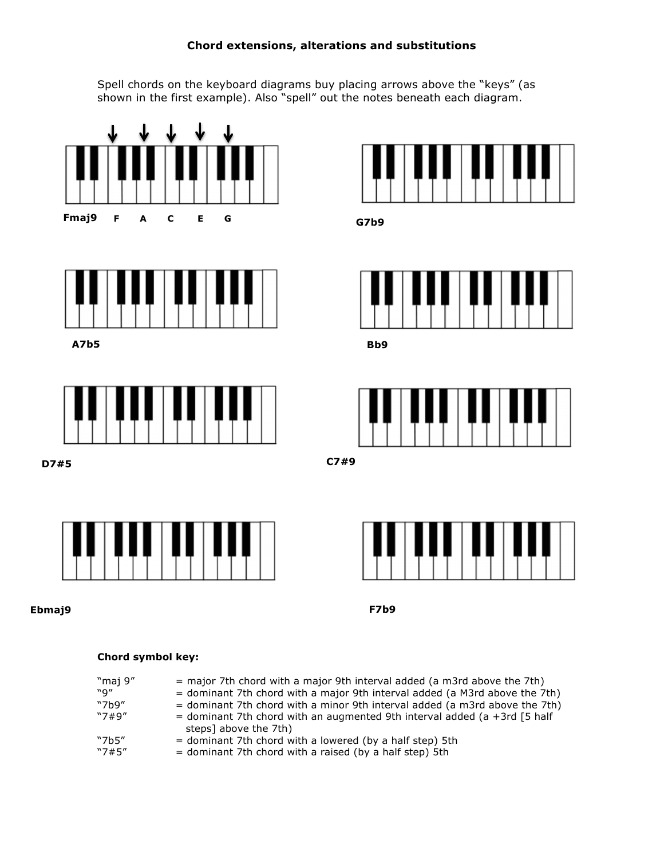## **Chord extensions, alterations and substitutions**

Spell chords on the keyboard diagrams buy placing arrows above the "keys" (as shown in the first example). Also "spell" out the notes beneath each diagram.



## **Chord symbol key:**

| "maj 9"<br>"q"<br>"7 $h9"$<br>"7#9" | $=$ major 7th chord with a major 9th interval added (a m3rd above the 7th)<br>$=$ dominant 7th chord with a major 9th interval added (a M3rd above the 7th)<br>$=$ dominant 7th chord with a minor 9th interval added (a m3rd above the 7th)<br>= dominant 7th chord with an augmented 9th interval added (a +3rd $\overline{5}$ half<br>steps] above the 7th) |
|-------------------------------------|----------------------------------------------------------------------------------------------------------------------------------------------------------------------------------------------------------------------------------------------------------------------------------------------------------------------------------------------------------------|
| "7b5"                               | $=$ dominant 7th chord with a lowered (by a half step) 5th                                                                                                                                                                                                                                                                                                     |
| "7#5"                               | = dominant 7th chord with a raised (by a half step) 5th                                                                                                                                                                                                                                                                                                        |